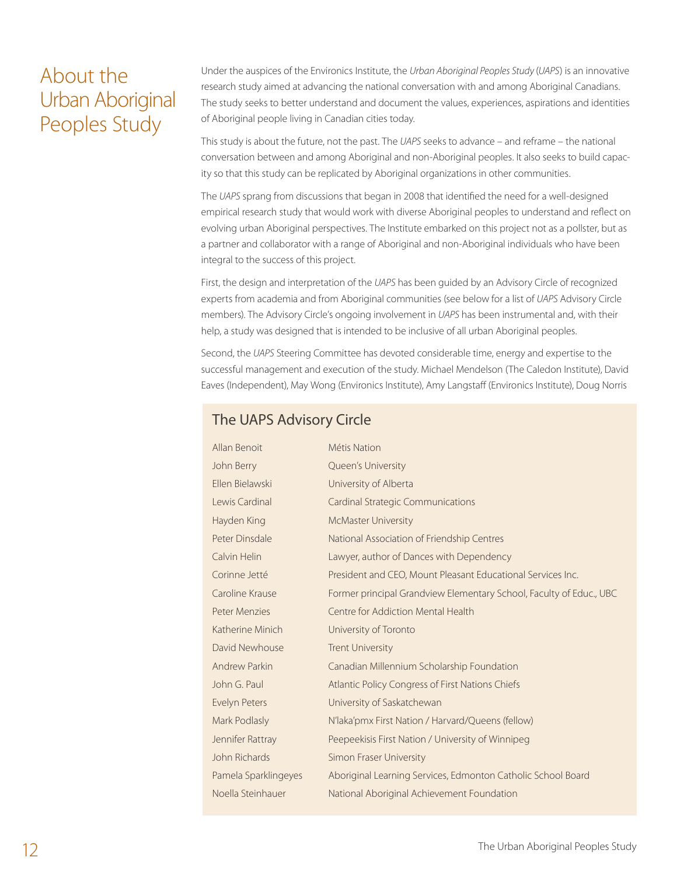# About the Urban Aboriginal Peoples Study

Under the auspices of the Environics Institute, the *Urban Aboriginal Peoples Study* (*UAPS*) is an innovative research study aimed at advancing the national conversation with and among Aboriginal Canadians. The study seeks to better understand and document the values, experiences, aspirations and identities of Aboriginal people living in Canadian cities today.

This study is about the future, not the past. The *UAPS* seeks to advance – and reframe – the national conversation between and among Aboriginal and non-Aboriginal peoples. It also seeks to build capacity so that this study can be replicated by Aboriginal organizations in other communities.

The *UAPS* sprang from discussions that began in 2008 that identified the need for a well-designed empirical research study that would work with diverse Aboriginal peoples to understand and reflect on evolving urban Aboriginal perspectives. The Institute embarked on this project not as a pollster, but as a partner and collaborator with a range of Aboriginal and non-Aboriginal individuals who have been integral to the success of this project.

First, the design and interpretation of the *UAPS* has been guided by an Advisory Circle of recognized experts from academia and from Aboriginal communities (see below for a list of *UAPS* Advisory Circle members). The Advisory Circle's ongoing involvement in *UAPS* has been instrumental and, with their help, a study was designed that is intended to be inclusive of all urban Aboriginal peoples.

Second, the *UAPS* Steering Committee has devoted considerable time, energy and expertise to the successful management and execution of the study. Michael Mendelson (The Caledon Institute), David Eaves (Independent), May Wong (Environics Institute), Amy Langstaff (Environics Institute), Doug Norris

### The UAPS Advisory Circle

| Allan Benoit         | Métis Nation                                                        |
|----------------------|---------------------------------------------------------------------|
| John Berry           | Queen's University                                                  |
| Ellen Bielawski      | University of Alberta                                               |
| Lewis Cardinal       | <b>Cardinal Strategic Communications</b>                            |
| Hayden King          | <b>McMaster University</b>                                          |
| Peter Dinsdale       | National Association of Friendship Centres                          |
| Calvin Helin         | Lawyer, author of Dances with Dependency                            |
| Corinne Jetté        | President and CEO, Mount Pleasant Educational Services Inc.         |
| Caroline Krause      | Former principal Grandview Elementary School, Faculty of Educ., UBC |
| <b>Peter Menzies</b> | Centre for Addiction Mental Health                                  |
| Katherine Minich     | University of Toronto                                               |
| David Newhouse       | <b>Trent University</b>                                             |
| <b>Andrew Parkin</b> | Canadian Millennium Scholarship Foundation                          |
| John G. Paul         | Atlantic Policy Congress of First Nations Chiefs                    |
| Evelyn Peters        | University of Saskatchewan                                          |
| Mark Podlasly        | N'laka'pmx First Nation / Harvard/Queens (fellow)                   |
| Jennifer Rattray     | Peepeekisis First Nation / University of Winnipeg                   |
| John Richards        | Simon Fraser University                                             |
| Pamela Sparklingeyes | Aboriginal Learning Services, Edmonton Catholic School Board        |
| Noella Steinhauer    | National Aboriginal Achievement Foundation                          |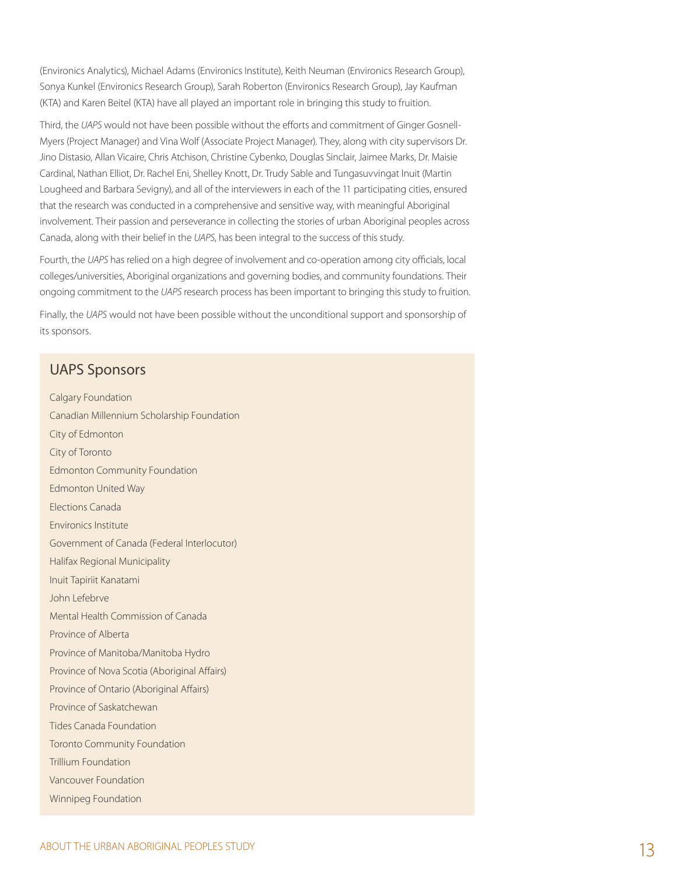(Environics Analytics), Michael Adams (Environics Institute), Keith Neuman (Environics Research Group), Sonya Kunkel (Environics Research Group), Sarah Roberton (Environics Research Group), Jay Kaufman (KTA) and Karen Beitel (KTA) have all played an important role in bringing this study to fruition.

Third, the *UAPS* would not have been possible without the efforts and commitment of Ginger Gosnell-Myers (Project Manager) and Vina Wolf (Associate Project Manager). They, along with city supervisors Dr. Jino Distasio, Allan Vicaire, Chris Atchison, Christine Cybenko, Douglas Sinclair, Jaimee Marks, Dr. Maisie Cardinal, Nathan Elliot, Dr. Rachel Eni, Shelley Knott, Dr. Trudy Sable and Tungasuvvingat Inuit (Martin Lougheed and Barbara Sevigny), and all of the interviewers in each of the 11 participating cities, ensured that the research was conducted in a comprehensive and sensitive way, with meaningful Aboriginal involvement. Their passion and perseverance in collecting the stories of urban Aboriginal peoples across Canada, along with their belief in the *UAPS*, has been integral to the success of this study.

Fourth, the *UAPS* has relied on a high degree of involvement and co-operation among city officials, local colleges/universities, Aboriginal organizations and governing bodies, and community foundations. Their ongoing commitment to the *UAPS* research process has been important to bringing this study to fruition.

Finally, the *UAPS* would not have been possible without the unconditional support and sponsorship of its sponsors.

### UAPS Sponsors

Calgary Foundation Canadian Millennium Scholarship Foundation City of Edmonton City of Toronto Edmonton Community Foundation Edmonton United Way Elections Canada Environics Institute Government of Canada (Federal Interlocutor) Halifax Regional Municipality Inuit Tapiriit Kanatami John Lefebrve Mental Health Commission of Canada Province of Alberta Province of Manitoba/Manitoba Hydro Province of Nova Scotia (Aboriginal Affairs) Province of Ontario (Aboriginal Affairs) Province of Saskatchewan Tides Canada Foundation Toronto Community Foundation Trillium Foundation Vancouver Foundation Winnipeg Foundation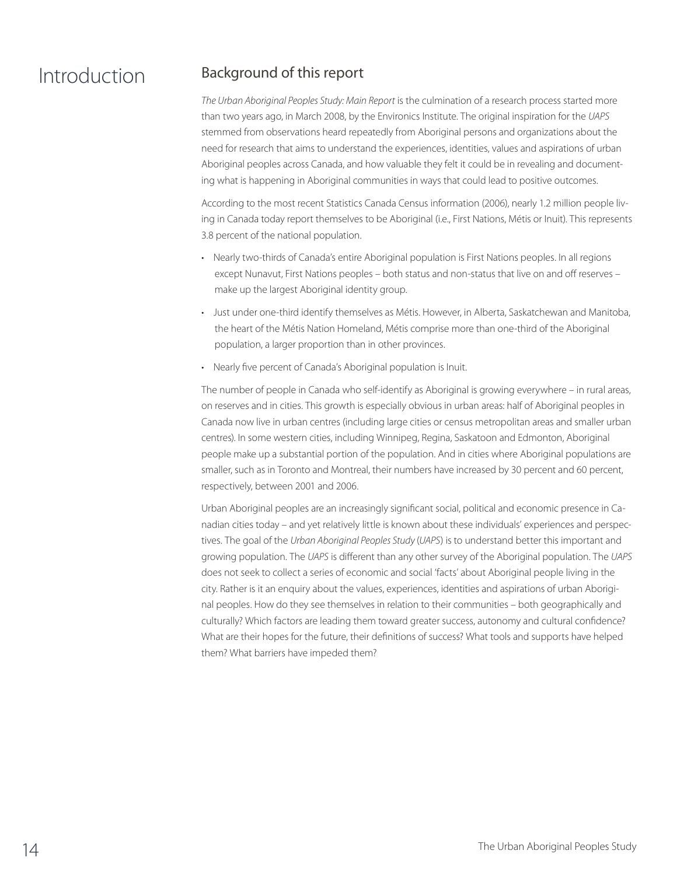# Introduction Background of this report

*The Urban Aboriginal Peoples Study: Main Report* is the culmination of a research process started more than two years ago, in March 2008, by the Environics Institute. The original inspiration for the *UAPS* stemmed from observations heard repeatedly from Aboriginal persons and organizations about the need for research that aims to understand the experiences, identities, values and aspirations of urban Aboriginal peoples across Canada, and how valuable they felt it could be in revealing and documenting what is happening in Aboriginal communities in ways that could lead to positive outcomes.

According to the most recent Statistics Canada Census information (2006), nearly 1.2 million people living in Canada today report themselves to be Aboriginal (i.e., First Nations, Métis or Inuit). This represents 3.8 percent of the national population.

- Nearly two-thirds of Canada's entire Aboriginal population is First Nations peoples. In all regions except Nunavut, First Nations peoples – both status and non-status that live on and off reserves – make up the largest Aboriginal identity group.
- • Just under one-third identify themselves as Métis. However, in Alberta, Saskatchewan and Manitoba, the heart of the Métis Nation Homeland, Métis comprise more than one-third of the Aboriginal population, a larger proportion than in other provinces.
- Nearly five percent of Canada's Aboriginal population is Inuit.

The number of people in Canada who self-identify as Aboriginal is growing everywhere – in rural areas, on reserves and in cities. This growth is especially obvious in urban areas: half of Aboriginal peoples in Canada now live in urban centres (including large cities or census metropolitan areas and smaller urban centres). In some western cities, including Winnipeg, Regina, Saskatoon and Edmonton, Aboriginal people make up a substantial portion of the population. And in cities where Aboriginal populations are smaller, such as in Toronto and Montreal, their numbers have increased by 30 percent and 60 percent, respectively, between 2001 and 2006.

Urban Aboriginal peoples are an increasingly significant social, political and economic presence in Canadian cities today – and yet relatively little is known about these individuals' experiences and perspectives. The goal of the *Urban Aboriginal Peoples Study* (*UAPS*) is to understand better this important and growing population. The *UAPS* is different than any other survey of the Aboriginal population. The *UAPS* does not seek to collect a series of economic and social 'facts' about Aboriginal people living in the city. Rather is it an enquiry about the values, experiences, identities and aspirations of urban Aboriginal peoples. How do they see themselves in relation to their communities – both geographically and culturally? Which factors are leading them toward greater success, autonomy and cultural confidence? What are their hopes for the future, their definitions of success? What tools and supports have helped them? What barriers have impeded them?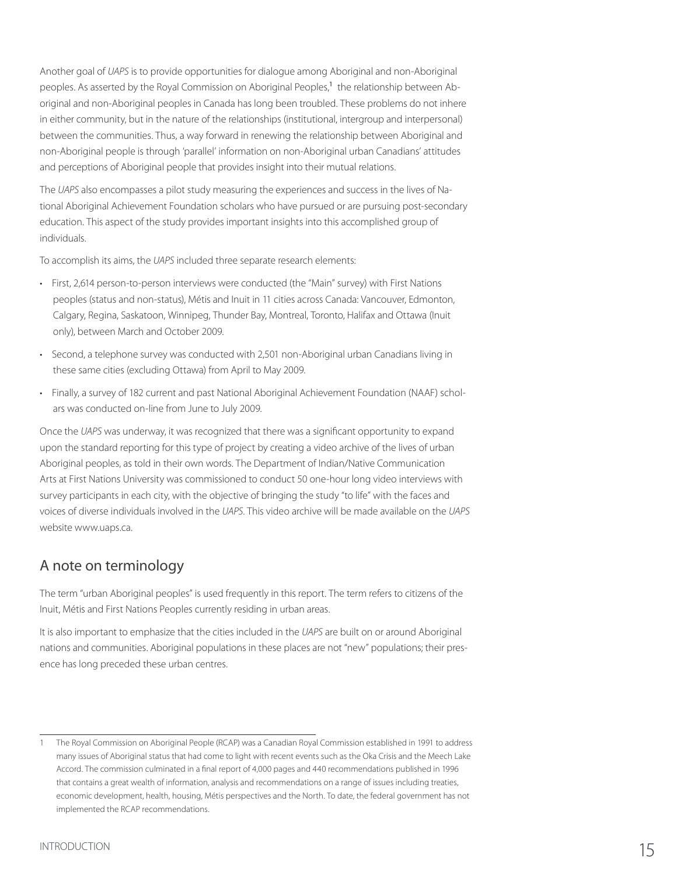Another goal of *UAPS* is to provide opportunities for dialogue among Aboriginal and non-Aboriginal peoples. As asserted by the Royal Commission on Aboriginal Peoples,<sup>1</sup> the relationship between Aboriginal and non-Aboriginal peoples in Canada has long been troubled. These problems do not inhere in either community, but in the nature of the relationships (institutional, intergroup and interpersonal) between the communities. Thus, a way forward in renewing the relationship between Aboriginal and non-Aboriginal people is through 'parallel' information on non-Aboriginal urban Canadians' attitudes and perceptions of Aboriginal people that provides insight into their mutual relations.

The *UAPS* also encompasses a pilot study measuring the experiences and success in the lives of National Aboriginal Achievement Foundation scholars who have pursued or are pursuing post-secondary education. This aspect of the study provides important insights into this accomplished group of individuals.

To accomplish its aims, the *UAPS* included three separate research elements:

- • First, 2,614 person-to-person interviews were conducted (the "Main" survey) with First Nations peoples (status and non-status), Métis and Inuit in 11 cities across Canada: Vancouver, Edmonton, Calgary, Regina, Saskatoon, Winnipeg, Thunder Bay, Montreal, Toronto, Halifax and Ottawa (Inuit only), between March and October 2009.
- • Second, a telephone survey was conducted with 2,501 non-Aboriginal urban Canadians living in these same cities (excluding Ottawa) from April to May 2009.
- • Finally, a survey of 182 current and past National Aboriginal Achievement Foundation (NAAF) scholars was conducted on-line from June to July 2009.

Once the *UAPS* was underway, it was recognized that there was a significant opportunity to expand upon the standard reporting for this type of project by creating a video archive of the lives of urban Aboriginal peoples, as told in their own words. The Department of Indian/Native Communication Arts at First Nations University was commissioned to conduct 50 one-hour long video interviews with survey participants in each city, with the objective of bringing the study "to life" with the faces and voices of diverse individuals involved in the *UAPS*. This video archive will be made available on the *UAPS* website www.uaps.ca.

## A note on terminology

The term "urban Aboriginal peoples" is used frequently in this report. The term refers to citizens of the Inuit, Métis and First Nations Peoples currently residing in urban areas.

It is also important to emphasize that the cities included in the *UAPS* are built on or around Aboriginal nations and communities. Aboriginal populations in these places are not "new" populations; their presence has long preceded these urban centres.

<sup>1</sup> The Royal Commission on Aboriginal People (RCAP) was a Canadian Royal Commission established in 1991 to address many issues of Aboriginal status that had come to light with recent events such as the Oka Crisis and the Meech Lake Accord. The commission culminated in a final report of 4,000 pages and 440 recommendations published in 1996 that contains a great wealth of information, analysis and recommendations on a range of issues including treaties, economic development, health, housing, Métis perspectives and the North. To date, the federal government has not implemented the RCAP recommendations.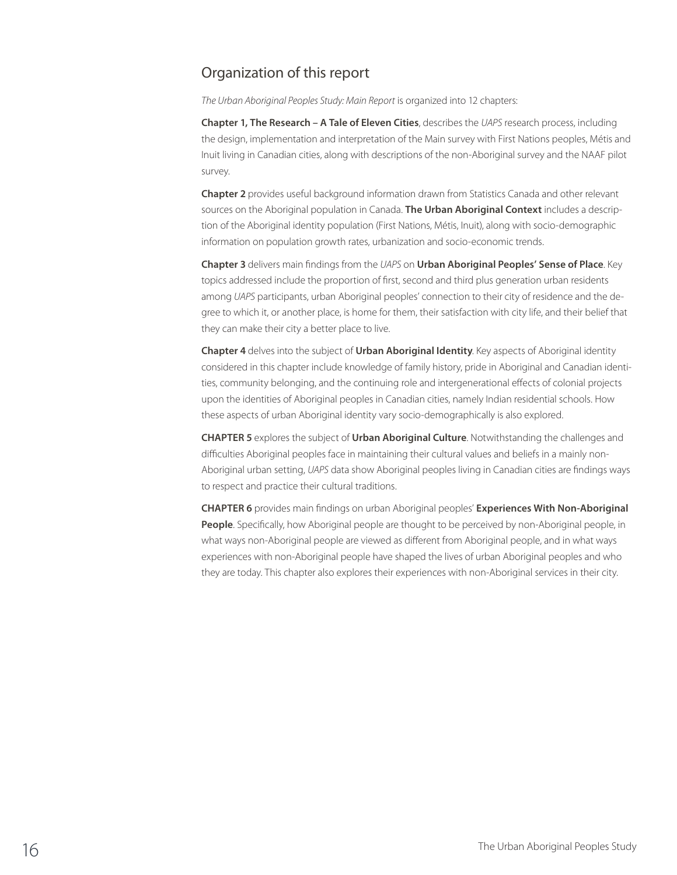### Organization of this report

*The Urban Aboriginal Peoples Study: Main Report* is organized into 12 chapters:

**Chapter 1, The Research – A Tale of Eleven Cities**, describes the *UAPS* research process, including the design, implementation and interpretation of the Main survey with First Nations peoples, Métis and Inuit living in Canadian cities, along with descriptions of the non-Aboriginal survey and the NAAF pilot survey.

**Chapter 2** provides useful background information drawn from Statistics Canada and other relevant sources on the Aboriginal population in Canada. **The Urban Aboriginal Context** includes a description of the Aboriginal identity population (First Nations, Métis, Inuit), along with socio-demographic information on population growth rates, urbanization and socio-economic trends.

**Chapter 3** delivers main findings from the *UAPS* on **Urban Aboriginal Peoples' Sense of Place**. Key topics addressed include the proportion of first, second and third plus generation urban residents among *UAPS* participants, urban Aboriginal peoples' connection to their city of residence and the degree to which it, or another place, is home for them, their satisfaction with city life, and their belief that they can make their city a better place to live.

**Chapter 4** delves into the subject of **Urban Aboriginal Identity**. Key aspects of Aboriginal identity considered in this chapter include knowledge of family history, pride in Aboriginal and Canadian identities, community belonging, and the continuing role and intergenerational effects of colonial projects upon the identities of Aboriginal peoples in Canadian cities, namely Indian residential schools. How these aspects of urban Aboriginal identity vary socio-demographically is also explored.

**Chapter 5** explores the subject of **Urban Aboriginal Culture**. Notwithstanding the challenges and difficulties Aboriginal peoples face in maintaining their cultural values and beliefs in a mainly non-Aboriginal urban setting, *UAPS* data show Aboriginal peoples living in Canadian cities are findings ways to respect and practice their cultural traditions.

**Chapter 6** provides main findings on urban Aboriginal peoples' **Experiences With Non-Aboriginal People**. Specifically, how Aboriginal people are thought to be perceived by non-Aboriginal people, in what ways non-Aboriginal people are viewed as different from Aboriginal people, and in what ways experiences with non-Aboriginal people have shaped the lives of urban Aboriginal peoples and who they are today. This chapter also explores their experiences with non-Aboriginal services in their city.